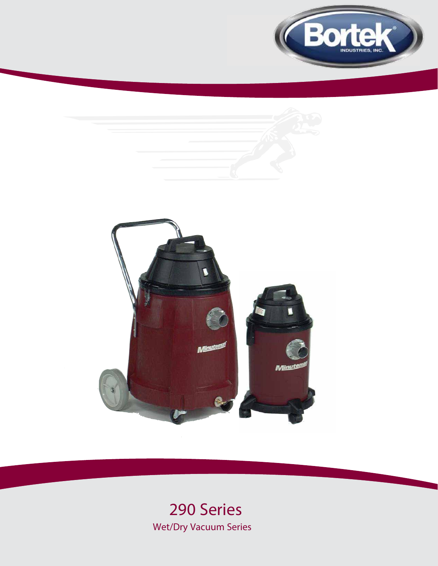





# **290 Series Wet/Dry Vacuum Series**